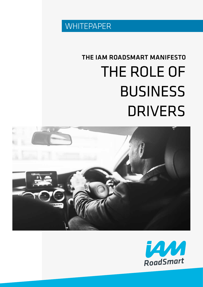

## THE ROLE OF BUSINESS DRIVERS THE IAM ROADSMART MANIFESTO



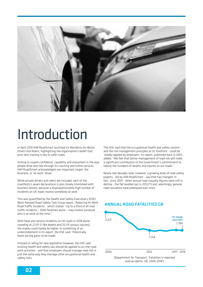

## Introduction

In April 2019 IAM RoadSmart launched its *Manifesto for Better Drivers and Riders*, highlighting the organisation's belief that post-test training is key to safer roads.

Aiming to inspire confidence, capability and enjoyment in the way people drive and ride through its coaching and online services, IAM RoadSmart acknowledged one important target: the business, or 'at-work' driver.

While private drivers and riders are included, each of the manifesto's seven declarations is also closely interlinked with business drivers, because a disproportionately high number of incidents on UK roads involve somebody at work.

This was quantified by the Health and Safety Executive's (HSE) Work-Related Road Safety Task Group report, 'Reducing At-Work Road Traffic Incidents', which stated: "Up to a third of all road traffic incidents – 1000 fatalities alone – may involve someone who is at work at the time."

With fatal and serious incidents on UK roads in 2018 alone standing at 27,511 (1,784 deaths and 25,511 serious injuries), the stakes could hardly be higher. In something of an understatement in its report, the HSE said: 'Potentially, there are big gains to be made'.

Instead of calling for new legislation however, the HSE said existing health and safety law should be applied to on-the-road work activities - and that employers should manage road risk in just the same way they manage other occupational health and safety risks.

The HSE said that the occupational health and safety system and the risk management principles at its forefront - could be 'readily applied by employers'. Its report, published back in 2001, added: "We feel that better management of road risk will make a significant contribution to the Government's commitment to reduce the numbers of deaths and injuries on our roads."

Nearly two decades later, however, a growing body of road safety experts - led by IAM RoadSmart - say little has changed. In fact, since 2001 - when annual road casualty figures were still in decline - the fall levelled out in 2012/13 and, alarmingly, general road casualties have plateaued ever since.



ANNUAL ROAD FATALITIES GB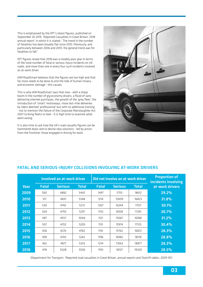This is emphasised by the DfT's latest figures, published on September 26 2019, 'Reported Casualties in Great Britain: 2018 annual report', in which it is stated: "The trend in the number of fatalities has been broadly flat since 2010. Previously, and particularly between 2006 and 2010, the general trend was for fatalities to fall."

DfT figures reveal that 2018 was a notably poor year in terms of the total number of fatal or serious-injury incidents on UK roads, and more than one in every four such incidents involved an at-work driver.

IAM RoadSmart believes that the figures are too high and that far more needs to be done to end the tide of human misery and economic damage - this causes.

This is why IAM RoadSmart says that now - with a sharp boom in the number of gig economy drivers, a flood of vans delivering internet purchases, the growth of the 'grey fleet', the introduction of 'smart' motorways, more last-mile deliveries by riders deemed 'professional' but with no additional training - not to mention the failure of the Corporate Manslaughter Act 2007 to bring fleets to heel - it is high time to examine what went wrong.

It is also time to ask how the UK's road casualty figures can be hammered down and to devise new solutions - led by action from the frontline: those engaged in driving for work.



|             | <b>Involved an at-work driver</b> |                |              | Did not involve an at-work driver |                |              | <b>Proportion of</b><br>incidents involving |
|-------------|-----------------------------------|----------------|--------------|-----------------------------------|----------------|--------------|---------------------------------------------|
| <b>Year</b> | <b>Fatal</b>                      | <b>Serious</b> | <b>Total</b> | <b>Fatal</b>                      | <b>Serious</b> | <b>Total</b> | at-work drivers                             |
| 2009        | 560                               | 4882           | 5442         | 1497                              | 17115          | 18612        | 29.2%                                       |
| 2010        | 517                               | 4831           | 5348         | 1214                              | 15609          | 16823        | 31.8%                                       |
| 2011        | 530                               | 4742           | 5272         | 1267                              | 16244          | 17511        | 30.1%                                       |
| 2012        | 504                               | 4793           | 5297         | 1133                              | 16108          | 17241        | 30.7%                                       |
| 2013        | 487                               | 4557           | 5044         | 1121                              | 15067          | 16188        | 31.2%                                       |
| 2014        | 507                               | 4702           | 5209         | 1151                              | 15974          | 17125        | 30.4%                                       |
| 2015        | 506                               | 4276           | 4782         | 1110                              | 15762          | 16872        | 28.3%                                       |
| 2016        | 499                               | 4743           | 5242         | 1196                              | 16982          | 18178        | 28.8%                                       |
| 2017        | 462                               | 4871           | 5333         | 1214                              | 17663          | 18877        | 28.3%                                       |
| 2018        | 478                               | 5028           | 5506         | 1193                              | 18137          | 19330        | 28.5%                                       |

#### FATAL AND SERIOUS-INJURY COLLISIONS INVOLVING AT-WORK DRIVERS

(Department for Transport, 'Reported road casualties in Great Britain, annual reports and Stats19 tables, 2009-18')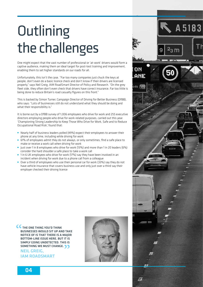# **Outlining** the challenges

One might expect that the vast number of professional or 'at-work' drivers would form a captive audience, making them an ideal target for post-test training and improvement, enabling them to set higher standards on our roads for all.

Unfortunately, this isn't the case. "Far too many companies just chuck the keys at people, don't even do a basic licence check and don't know if their drivers are licensed properly," says Neil Greig, IAM RoadSmart Director of Policy and Research. "On the grey fleet side, they often don't even check that drivers have correct insurance. Far too little is being done to reduce Britain's road casualty figures on this front."

This is backed by Simon Turner, Campaign Director of Driving for Better Business (DfBB), who says: "Lots of businesses still do not understand what they should be doing and what their responsibility is."

It is borne out by a DfBB survey of 1,006 employees who drive for work and 255 executive directors employing people who drive for work-related purposes, carried out this year. 'Championing Strong Leadership to Keep Those Who Drive for Work, Safe and to Reduce Occupational Road Risk', found that:

- Nearly half of business leaders polled (49%) expect their employees to answer their phone at any time, including while driving for work
- 61% of employees admit they do not always, or only sometimes, find a safe place to make or receive a work call when driving for work
- Just over 1 in 8 employees who drive for work (13%) and more than 1 in 20 leaders (6%) consider the hard shoulder a safe place to take a work call
- 1 in 6 UK employees who drive for work (17%) say they have been involved in an incident when driving for work due to a phone call from a colleague
- Over a third of employees who use their personal car for work (33%) say they do not have vehicle insurance that covers business use and only just over a third say their employer checked their driving licence

**CC** THE ONE THING YOU'D THINK BUSINESSES WOULD SIT UP AND TAKE NOTICE OF IS THAT THERE IS A MAJOR BOTTOM-LINE ISSUE HERE. BUT IT IS SIMPLY GOING UNDETECTED. THIS IS SOMETHING WE MUST CHANGE.

NEIL GREIG, IAM ROADSMART



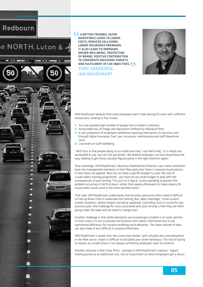## Redbourn

## e NORTH, Luton & .

**File** 

Ē





IAM RoadSmart believes that most employers don't treat driving for work with sufficient seriousness, leading to four issues:

- 1. An unacceptably high number of people hurt or killed in collisions
- 2. Incalculable loss of image and reputation suffered by individual firms
- 3. A vast proportion of employers needlessly exposing themselves to massive costs through higher insurance, fuel, tyre, insurance, maintenance and staff downtime costs
- 4. Low levels of staff wellbeing

A BETTER-TRAINED, SAFER WORKFORCE LEADS TO LOWER COSTS, REDUCED COLLISIONS, LOWER INSURANCE PREMIUMS. IT ALSO LEADS TO IMPROVED

"With four or five people dying on our roads each day," says Neil Greig, "it is simply not acceptable to say 'we can't do any better'. We believe employers can and should lead the way, helping to get those casualty figures going in the right direction again."

Tony Greenidge, IAM RoadSmart's Business Development Director, says many companies have risk management elements in their fleet policy but there is massive inconsistency in how these are applied. Most do not have a specific budget to cover the cost of a road safety training programme - yet many do set aside budget to deal with the consequences of poor driving. This just isn't logical. Surely spending to prevent the problem occurring in the first place, rather than paying afterwards to make repairs/fix issues when issues arise is the more sensible route?

That said, IAM RoadSmart understands that business pressures often make it difficult to free up driver time to undertake the training. But, adds Greenidge: "Given current market dynamics, where margins are being squeezed, controlling costs is crucial for any business plan; the challenge for costs associated with poor driving is that they are often going under the radar and we need to change that."

Another challenge is that while telematics are increasingly installed in at-work vehicles, in most cases it is not to provide the business with safety information but to aid operational efficiency, for instance enabling extra deliveries. The sheer volume of data can also make it very difficult to analyse effectively.

IAM RoadSmart is aware that the current job market, with virtually zero unemployment in the fleet sector, makes it difficult to discipline poor driver behaviour. The risk of having to replace an unsafe driver is not always something employers want to confront.

Another obstacle is that many firms - wrongly in IAM RoadSmart's opinion - regard training purely as an additional cost, not an investment on which employers get a return.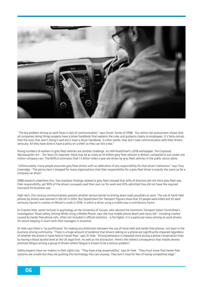

"The key problem driving at work faces is lack of communication," says Simon Turner of DfBB. "Our online risk assessment shows that all companies doing things properly have a driver handbook that explains the rules and guidance clearly to employees. It's fairly certain that the ones that aren't doing it well don't have a driver handbook. In other words, they don't take communication with their drivers seriously. All they have done is have a policy on a shelf, so they can tick a box."

Rising numbers of workers in grey fleet vehicles are another challenge. As IAM RoadSmart's 2018 whitepaper, *The Corporate Manslaughter Act – Ten Years On* reported, there may be as many as 14 million grey fleet vehicles in Britain, compared to just under one million company cars. The BVRLA estimates that 1.5 billion miles a year are driven by grey fleet vehicles in the public sector alone.

"Unfortunately, many people associate grey fleet drivers with an abdication of any responsibility for that driver's behaviour," says Tony Greenidge. "The penny hasn't dropped for many organisations that their responsibility for a grey fleet driver is exactly the same as for a company car driver."

DfBB research underlines this. Two standout findings related to grey fleet showed that 60% of directors did not think grey fleet was their responsibility, yet 90% of the drivers surveyed used their own car for work and 30% admitted they did not have the required insurance for business use.

High-tech, 21st century communications present another serious barrier to driving down road casualties at work. The use of hand-held phones by drivers was banned in the UK in 2003. But Department for Transport figures show that 25 people were killed and 92 were seriously injured in crashes on Britain's roads in 2018, in which a driver using a mobile was a contributory factor.

Dr Graham Hole, senior lecturer in psychology at the University of Sussex, who advised the Commons Transport Select Committee's investigation 'Road safety, Driving While Using a Mobile Phone', says the true mobile phone death and injury toll - including crashes caused by hands-free phone calls, often not included in official statistics - is far higher. It is a particular worry among at-work drivers, for whom keeping in touch with their managers is essential.

Dr Hole says there is 'no justification' for making any distinction between the use of hand-held and hands-free phones, not least in the business driving community. "There is a huge amount of evidence that drivers talking on a phone are significantly impaired regardless of whether the phone is hand-held or hands-free," says Dr Hole. "Driving behaviour is impaired more during a phone conversation than by having a blood alcohol level at the UK legal limit. As well as the distraction, there's the indirect consequence that mobile phones promote fatigue among a group of drivers where fatigue is known to be a serious problem."

Safety experts have car-makers in their sights too. "They have a big responsibility," says Dr Hole. "They must know that hands-free systems are unsafe but they are pushing this technology into cars anyway. They won't stop for fear of losing competitive edge."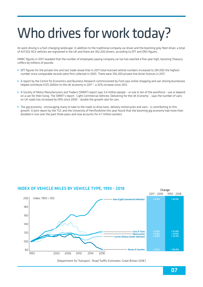# Who drives for work today?

At-work driving is a fast-changing landscape. In addition to the traditional company car driver and the booming grey fleet driver, a total of 427,502 HGV vehicles are registered in the UK and there are 302,200 drivers, according to DfT and ONS figures.

HMRC figures in 2017 revealed that the number of employees paying company car tax has reached a five-year high, boosting Treasury coffers by millions of pounds.

- DfT figures for the private hire and taxi trade reveal that in 2017 total licensed vehicle numbers increased to 281,000 the highest number since comparable records were first collected in 2005. There were 356,300 private hire driver licences in 2017.
- A report by the Centre for Economics and Business Research commissioned by Ford says online shopping and van-driving businesses helped contribute £125.2billion to the UK economy in 2017 – a 32% increase since 2012.
- A Society of Motor Manufacturers and Traders (SMMT) report says 3.4 million people or one in ten of the workforce use or depend on a van for their living. The SMMT's report. 'Light Commercial Vehicles: Delivering for the UK Economy' , says the number of vans on UK roads has increased by 59% since 2000 – double the growth rate for cars.
- The gig economy encouraging many to take to the roads to drive taxis, delivery motorcycles and vans is contributing to this growth. A joint report by the TUC and the University of Hertfordshire this year found that the booming gig economy had more than doubled in size over the past three years and now accounts for 4.7 million workers.

#### INDEX OF VEHICLE MILES BY VEHICLE TYPE, 1993 - 2018

Change



(Department for Transport, 'Road Traffic Estimates: Great Britain 2018')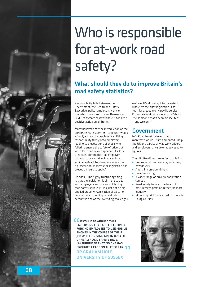# Who is responsible for at-work road safety?

### What should they do to improve Britain's road safety statistics?

Responsibility falls between the Government, the Health and Safety Executive, police, employers, vehicle manufacturers - and drivers themselves. IAM RoadSmart believes there is too little positive action on all fronts.

Many believed that the introduction of the Corporate Manslaughter Act in 2007 would - finally - solve the problem by shifting responsibility firmly onto employers, leading to prosecutions of those who failed to ensure the safety of drivers at work. But that never happened. As Tony Greenidge comments: "No employer of a company car driver involved in an avoidable death has been anywhere near a prosecution. It seems the legislation has proved difficult to apply."

He adds: "The highly frustrating thing is that the legislation is all there to deal with employers and drivers not taking road safety seriously - it's just not being applied properly. Application of existing legislation and holding individuals to account is one of the overriding challenges

we face. It's almost got to the extent where we feel that legislation is so toothless, people only pay lip service. Potential clients often say to us: 'show me someone that's been prosecuted' - and we can't."

#### Government

IAM RoadSmart believes that its manifesto would - if implemented - help the UK and particularly at-work drivers and employers, drive down road casualty figures.

The IAM RoadSmart manifesto calls for:

- Graduated driver licensing for young/ new drivers
- A re-think on older drivers
- **•** Driver retesting
- A wider range of driver rehabilitation courses
- Road safety to be at the heart of procurement practice in the transport industry
- More support for advanced motorcycle riding courses

**IT COULD BE ARGUED THAT** EMPLOYERS THAT ARE EFFECTIVELY FORCING EMPLOYEES TO USE MOBILE PHONES IN THE COURSE OF THEIR JOB WHILE DRIVING ARE IN BREACH OF HEALTH AND SAFETY REGS. I'M SURPRISED THAT NO ONE HAS BROUGHT A CASE ON THAT SO FAR.

DR GRAHAM HOLE, UNIVERSITY OF SUSSEX

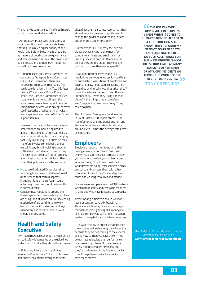This is how it summarises IAM RoadSmart's position on at-work driver safety:

"IAM RoadSmart believes road safety at work is a critical health and safety issue that requires much higher priority at the Health and Safety Executive. It should be at the core of good corporate governance and procurement practice in the private and public sector." In addition, IAM RoadSmart would like to see government:

 Eliminate legal 'grey areas'. Currently - as observed by Transport Select Committee chair Lillian Greenwood - there is a misleading impression that hands-free use is safe for drivers. In its 'Road Safety: Driving While Using a Mobile Phone' report, the Transport Committee advised tougher enforcement, calling on the government to overhaul current laws on using mobile devices while driving, to cover use irrespective of whether this involves sending or receiving data. IAM RoadSmart supports this call.

 "We need clarification because the way smartphones are now being used to access music and as sat navs as well as for communication, things are changing fast," says Neil Greig. "Clarification may therefore involve some legal changes (certainly anything involving interaction with a hand-held device, or one resting in the lap should be illegal) but it is mainly about best practice and advice to fleets on what their policies should be and why."

- **Introduce Graduated Driver Licensing** for young/new drivers. IAM RoadSmart understands that certain aspects including night-time curfews - could affect night workers, but it believes this is surmountable.
- Consider new regulations around the licensing of older drivers, whose numbers are rising, and of whom an ever increasing proportion of are continuing to work beyond the traditional retirement age. Mandatory eye tests for older drivers should be considered.

### Health and Safety **Executive**

IAM RoadSmart believes that the HSE's action on road safety is hampered by the guidelines under which it works. They should be re-drawn.

"HSE is a regulatory body; it enforces regulations," says Greig. "The trouble is we don't have regulations saying that fleets

should declare their safety record, that they should have licence checking. We need to change the guidelines and the regulations and then HSE can enforce them.

"Currently the HSE is mostly focused on bigger trucks; it is not doing much for company car fleets and small vans. It's issued guidelines on what fleets should do but they are too broad. They need redrafting, to make them more specific."

IAM RoadSmart believes that if HSE regulations are toughened up, it would lead to successful prosecutions of employers and drivers. "Following at-work collisions they should be asking 'why was that driver tired?' 'were the vehicles checked?', 'was there a licence check?', 'were they using a mobile phone?'- the things that all too often aren't happening now," says Greig. "They could do more."

The HSE's own 'Workplace Fatal Injuries in Great Britain 2018' report states: "The manufacturing and the transportation and storage sector have a rate of fatal injury around 1.5 to 2 times the average rate across all industries."

#### Employers

Employers must commit to tracking their driving at work performance. "You can't change road safety in your company unless you know exactly what your problems are," says Neil Greig. "Employers must track what drivers are doing, track incident history and costs and compare them with other companies to see if they're spending too much and wasting resources and money."

One source of comparison is the DfBB website which details safety and cost gains made by 'champions' who have followed best practice.

After tracking, employers should work on 'basic essentials', says IAM RoadSmart. This includes thorough licence-checking and routinely assessing driving skills of anyone joining a company as part of their induction, leading to targeted training where necessary.

"The vast majority of businesses don't take these issues seriously enough. We know this because they are not coming to the experts asking how to improve," says Greig. "They do not have to declare their performance in any meaningful way. Do they take road safety seriously enough? Probably not; they're too busy surviving. But in actual fact, it could help them survive because it could save them money."

**CC** THE HSE IS NEVER UPPERMOST IN PEOPLE'S MINDS WHEN IT COMES TO BUSINESS DRIVING. IF I ENTER A CONSTRUCTION SITE I KNOW I HAVE TO WEAR MY STEEL-TOECAPPED BOOTS AND HARD HAT. THERE'S NO SUCH ACCEPTANCE FOR BUSINESS DRIVING, WHICH KILLS FOUR TIMES AS MANY PEOPLE AS OTHER KINDS OF AT-WORK INCIDENTS DO ACROSS THE WHOLE OF THE REST OF UK INDUSTRY. TONY GREENIDGE

The IAM RoadSmart Manifesto can be viewed in full at in full at **www.iamroadsmart.com/manifesto**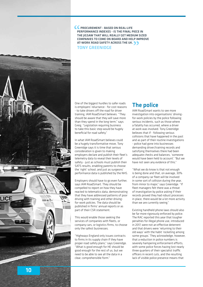



One of the biggest hurdles to safer roads is employers' reluctance - for cost reasons - to take drivers off the road for driver training, IAM RoadSmart believes. "They should be aware that they will save more than they spend in the long term," says Greig. "Legislation requiring business to take this basic step would be hugely beneficial for road safety."

In what IAM RoadSmart believes could be a hugely transformative move, Tony Greenidge says it is time that serious consideration is given to making employers declare and publish their fleet's telemetry data to reveal their levels of safety - just as schools must publish their SATS results, enabling parents to choose the 'right' school, and just as surgeons' performance data is published by the NHS.

Employers should have to go even further, says IAM RoadSmart. They should be compelled to report on how they have reacted to telematics data, demonstrating that they have addressed patterns of poor driving with training and other drivingfor-work policies. The data should be published in firms' annual reports or as part of their CSR statement.

This would enable those seeking the services of companies with fleets, or company cars, or logistics firms, to choose only the safest businesses.

"Highways England only issues contracts to firms in its supply chain if they have proper road safety plans," says Greenidge. "What is good enough for HE should be good enough for the rest of us, but we need to be able to see all the data in a clear, comprehensible form."

### The police

IAM RoadSmart wants to see more investigation into organisations' drivingfor-work policies by the police following serious incidents, such as those where a fatality has occurred, where a driver at work was involved. Tony Greenidge believes that if - following serious collisions that have happened in the past and as part of their routine investigations - police had gone into businesses demanding driver/training records and satisfying themselves there had been adequate checks and balances, 'someone would have been held to account'. "But we have not seen any evidence of this."

"What we do know is that not enough is being done and that, on average, 30% of a company car fleet will be involved in some sort of collision during the year, from minor to major," says Greenidge. "If fleet managers felt there was a threat of investigation by police asking if their records proved they had robust processes in place, there would be a lot more activity than we are currently seeing."

Existing handheld phone laws should also be far more rigorously enforced by police. The RAC reported this year that tougher penalties for illegal phone use, introduced in 2017, were not an effective deterrent and that drivers were 'returning to their old ways' with the habit 'rocketing among some groups.' They acknowledge, however, that a reduction in police numbers is severely hampering enforcement efforts, with some police forces having lost nearly three quarters of their specialist traffic officers in recent cuts, and the resulting lack of visible police presence means that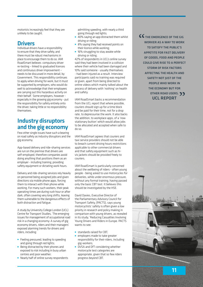motorists increasingly feel that they are unlikely to be caught.

#### **Drivers**

Individual drivers have a responsibility to ensure that they drive safely, and there must be robust mechanisms in place to encourage them to do so. IAM RoadSmart believes compulsory driver re-testing – linked to graduated licences and continuous driver improvement – needs to be discussed in more detail, by Government. This responsibility continues to apply when driving for work, but it must be supported by employers, who would do well to acknowledge that their employees are carrying out this hazardous activity on their behalf. Some employers, however especially in the growing gig economy - put the responsibility for safety entirely onto the driver, taking little or no responsibility themselves.

### Industry disruptors and the gig economy

Few other single issues have such a bearing on road safety as industry disruptors and the gig economy.

App-based delivery and ride-sharing services are run on the premise that drivers are self-employed, therefore companies avoid doing anything that positions them as an employer - including training, providing safety equipment or dictating work hours.

Delivery and ride-sharing services rely heavily on personnel being assigned jobs and given directions via mobile phone apps, forcing them to interact with their phone while working. For many such workers, their peak operating times are during rush hour or after dark, often covering very long shifts, leaving them vulnerable to the dangerous effects of both distraction and fatigue.

A study by University College London (UCL) Centre for Transport Studies, 'The emerging issues for management of occupational road risk in a changing economy: A survey of gig economy drivers, riders and their managers' exposed alarming trends for drivers and riders, including:

- **•** Feeling pressured, leading to speeding and going through red lights;
- Being distracted by their phones and exposed to risk including in busy urban centres and poor weather;
- Nearly half of online survey respondents

admitting speeding, with nearly a third going through red lights;

- 40% saying an app distracted them whilst driving or riding;
- 8% saying they had received points on their licence while working;
- 16% struggling to stay awake while driving or riding.

42% of respondents in UCL's online survey said they had been involved in a collision where their vehicle had been damaged and 10% said someone - usually themselves - had been injured as a result. Interview participants said no training was required or given, apart from being directed to online videos which mainly talked about the process of delivery with 'nothing' on health and safety.

IAM RoadSmart backs a recommendation from the UCL report that where possible, couriers should sign up for a time block and be paid for their time, not for a drop rate, to depressurise the work. It also backs the addition, to workplace apps, of a 'now stationary button' which would allow jobs to be allocated and accepted when safe to do so.

IAM RoadSmart agrees that couriers and taxi service providers should not be able to breach current driving hours restrictions applicable to other commercial drivers and that safety equipment such as hivis jackets should be provided freely to couriers.

IAM RoadSmart is particularly concerned about the wellbeing of riders - often young people - being asked to use motorcycles for deliveries, while under enormous pressure, without any formal training, having passed only the basic CBT test. It believes this should be investigated by the HSE.

David Davies, Executive Director of the Parliamentary Advisory Council for Transport Safety, (PACTS), says young motorcyclists' safety is often given a low priority in research and policy making in comparison with young drivers, as revealed in its study, 'Reducing Casualties Involving Young Drivers and Riders in Europe. PACTS wants to see:

- standards raised for CBT;
- **•** employers made to take greater responsibility for their riders, including gig-workers;
- DVSA and DfT considering whether motorcycle test categories are appropriate, given that so few riders progress beyond CBT.

CC THE EMERGENCE OF THE GIG WORKER AS A WAY TO WORK TO SATISFY THE PUBLIC'S APPETITE FOR FAST DELIVERY OF GOODS, FOOD AND PEOPLE COULD GIVE RISE TO A PERFECT STORM OF RISK FACTORS AFFECTING THE HEALTH AND SAFETY NOT JUST OF THE PEOPLE WHO WORK IN THE ECONOMY BUT FOR OTHER ROAD USERS. 33 UCL REPORT

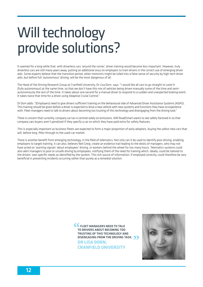## Will technology provide solutions?

It seemed for a long while that, with driverless cars 'around the corner', driver training would become less important. However, truly driverless cars are still many years away, putting an additional onus on employers to train drivers in the correct use of emerging driver aids. Some experts believe that the transition period, when motorists might be lulled into a false sense of security by high-tech driver aids, but before full 'autonomous' driving, will be the most dangerous of all.

The Head of the Driving Research Group at Cranfield University, Dr Lisa Dorn, says: "I would like all cars to go straight to Level 4 (fully autonomous) at the same time, so that we don't have this mix of vehicles being driven manually some of the time and semiautonomously the rest of the time. It takes about one second for a manual driver to respond to a sudden and unexpected braking event. It takes twice that time for a driver using Adaptive Cruise Control."

Dr Dorn adds: "(Employers) need to give drivers sufficient training on the behavioural side of Advanced Driver Assistance Systems (ADAS). This training should be given before a driver is expected to drive a new vehicle with new systems and functions they have no experience with. Fleet managers need to talk to drivers about becoming too trusting of this technology and disengaging from the driving task."

There is concern that currently, company car tax is centred solely on emissions. IAM RoadSmart wants to see safety factored in so that company cars buyers aren't penalised if they specify a car on which they have paid extra for safety features.

This is especially important as business fleets are expected to form a major proportion of early adopters, buying the safest new cars that will, before long, filter through to the used-car market.

There is another benefit from emerging technology, in the field of telematics. Not only can it be used to identify poor driving, enabling employers to target training, it can also, believes Neil Greig, create an evidence trail leading to the desks of managers, who may not have acted on 'warning signals' about employees' driving, or workers behind the wheel for too many hours. Telematics systems could also alert managers to poor or unsafe driving by employees, notifying them of the need for training which, ideally, could be tailored to the drivers' own specific needs as identified by the system. This rich source of information, if employed correctly, could therefore be very beneficial in preventing incidents occurring rather than purely as a remedial solution.

> **CC** FLEET MANAGERS NEED TO TALK TO DRIVERS ABOUT BECOMING TOO TRUSTING OF THIS TECHNOLOGY AND DISENGAGING FROM THE DRIVING TASK. **33** DR LISA DORN, CRANFIELD UNIVERSITY

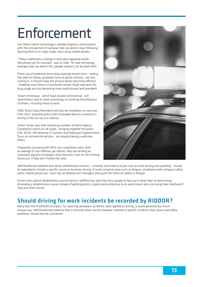## Enforcement

One field in which technology is already helping is enforcement, with the introduction of cameras that can detect close-following, ignoring Red Xs on major roads, even using mobile phones.

"There is definitely a change in attitudes regarding handsfree phone use for example," says Dr Hole. "As new technology emerges that can detect this, people realise it can be dealt with."

Police use of evidential drink-drive roadside breath tests - ending the need for follow-up breath tests at police stations - are also coming in. It should make the process faster and more efficient - enabling more drivers to be breath-tested. Road-side tests for drug usage are also becoming more sophisticated and prevalent.

Smart motorways - which have proved controversial - will nevertheless lead to more technology scrutinising the behaviour of drivers, including those at work.

EDRs (Event Data Recorders) will also be mandatory on new cars from 2022, providing police with invaluable data on a motorist's driving in the run-up to a collision.

Simon Turner says that increasing numbers of Multi-Agency Compliance events on UK roads - bringing together the police, HSE, DVSA, HM Revenue & Customs and Highways England which focus on commercial vehicles - are already having a welcome effect.

Frequently uncovering 80-90% non-compliance rates, with an average of two offences per vehicle, they are sending an important signal to employers that they are in fact at risk of being found out, if they don't follow the rules.



IAM RoadSmart believes that driver rehabilitation courses - currently restricted to issues such as drink-driving and speeding - should be extended to include a specific course on business driving. It could comprise areas such as fatigue, compliance with company safety policy, mobile phone use - even tips on dealing with managers who push the limits on safety or fatigue.

Drivers who attend rehabilitation courses tend to reoffend less and they force people to face up to what they've done wrong. Attending a rehabilitation course instead of getting points is particularly attractive to at-work drivers who risk losing their livelihood if they lose their licence.

### Should driving for work incidents be recorded by RIDDOR?

Many feel that if RIDDOR principles, for reporting workplace accidents, were applied to driving, it would generate too much bureaucracy. IAM RoadSmart believes that a slimmed-down version however, tailored to specific incidents that cause road safety problems, should now be considered.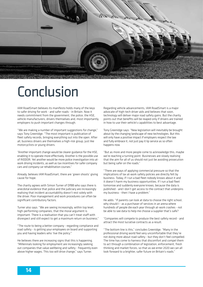

## Conclusion

IAM RoadSmart believes its manifesto holds many of the keys to safer driving for work - and safer roads - in Britain. Now it needs commitment from the government, the police, the HSE, vehicle manufacturers, drivers themselves and, most importantly, employers to push important changes through.

"We are making a number of important suggestions for change," says Tony Greenidge. "The most important is publication of fleet safety records, bringing everything out into the open. After all, business drivers are themselves a high-risk group, just like motorcyclists or young drivers.

"Another important change would be clearer guidance for the HSE, enabling it to operate more effectively. Another is the possible use of RIDDOR. Yet another would be more police investigation into atwork driving incidents, as well as tax incentives for safer company cars and company car rehabilitation courses."

Already, believes IAM RoadSmart, there are 'green shoots' giving cause for hone.

The charity agrees with Simon Turner of DfBB who says there is anecdotal evidence that police and the judiciary are increasingly realising that incident accountability doesn't rest solely with the driver. Poor management and work procedures can often be significant contributory factors.

Turner also says: "We are seeing increasingly, within top level, high-performing companies, that the moral argument is important. There is a realisation that you can't treat staff with disrespect and still expect to get a maximum return on business."

"The route to being a better company - regarding compliance and road safety - is getting your employees on board and supporting you and having leaders who 'live the policy."

He believes there are increasing signs that this is happening. "Millennials looking for employment are increasingly seeking out companies that value wellbeing and safety - frequently even above higher wages. This too will drive change," says Turner.

Regarding vehicle advancements, IAM RoadSmart is a major advocate of high-tech driver aids and believes that soon, technology will deliver major road safety gains. But the charity points out that benefits will be reaped only if drivers are trained in how to use their vehicle's capabilities to best advantage.

Tony Greenidge says: "New legislation will inevitably be brought about by the changing landscape of new technologies. But this will only have a positive impact if employers respect the law and fully embrace it, not just pay it lip service as so often happens now.

"But as more and more people come to acknowledge this, maybe we're reaching a turning point. Businesses are slowly realising that the aim for all of us should not just be avoiding prosecution but being safer on the roads."

"There are ways of applying commercial pressure so that the implications of lax at-work safety policies are directly felt by business. Today, if I run a bad fleet nobody knows about it and it doesn't harm my business opportunities. If I run a bad fleet tomorrow and suddenly everyone knows, because the data is published - and I don't get access to the contract that underpins my business - then I have a problem."

He adds: "If parents can look at data to choose the right school, why should I - as a purchaser of services in an arena where hundreds of people die each year through at-work crashes - not be able to see data to help me choose a supplier that's safe?

"Companies will compete to produce the best safety record - and attract the most lucrative contracts as a result.

"The bottom line is this," concludes Greenidge. "Many in the professional driving world feel very uncomfortable that they're not doing more about road safety - but they don't feel compelled. The time has come to harness that discomfort and compel them to act through a combination of legislation, enforcement, fresh thinking and market forces, so that as we enter 2020 we can all look forward to a brighter, safer future on Britain's roads."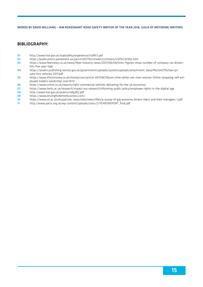#### WORDS BY DAVID WILLIAMS – IAM ROADSMART ROAD SAFETY WRITER OF THE YEAR 2018, GUILD OF MOTORING WRITERS

#### BIBLIOGRAPHY:

- 01 http://www.hse.gov.uk/roadsafety/experience/traffic1.pdf<br>https://publications.parliament.uk/pa/cm201719/cmselect
- 02 https://publications.parliament.uk/pa/cm201719/cmselect/cmtrans/2329/232902.htm
- 03 https://www.fleetnews.co.uk/news/fleet-industry-news/2017/08/08/hmrc-figures-show-number-of-company-car-drivershits-five-year-high
- 04 https://assets.publishing.service.gov.uk/government/uploads/system/uploads/attachment\_data/file/642759/taxi-private-hire-vehicles-2017.pdf
- 05 https://www.thisismoney.co.uk/money/cars/article-6973367/Boom-time-white-van-man-woman-Online-shopping-self-employed-traders-ownership-soar.html
- 06 https://www.smmt.co.uk/reports/light-commercial-vehicles-delivering-for-the-uk-economy/
- 07 https://www.herts.ac.uk/research/impact-our-research/informing-public-policy/employee-rights-in-the-digital-age<br>08 http://www.bse.gov.uk/pubns/indg382.ndf
- 08 http://www.hse.gov.uk/pubns/indg382.pdf<br>09 https://www.drivingforbetterbusiness.com/
- 09 https://www.drivingforbetterbusiness.com/<br>10 https://www.ucl.ac.uk/drupal/sitenews/site
- 10 https://www.ucl.ac.uk/drupal/site\_news/sites/news/files/a-survey-of-gig-economy-drivers-riders-and-their-managers\_1.pdf
- 11 http://www.pacts.org.uk/wp-content/uploads/sites/2/YEARSREPORT\_final.pdf